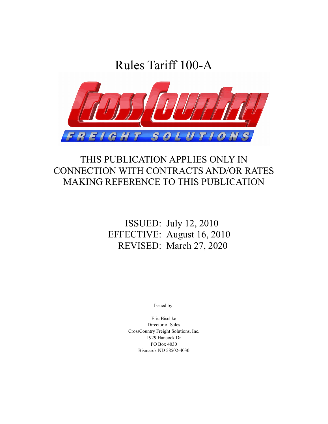Rules Tariff 100-A



## THIS PUBLICATION APPLIES ONLY IN CONNECTION WITH CONTRACTS AND/OR RATES MAKING REFERENCE TO THIS PUBLICATION

## ISSUED: July 12, 2010 EFFECTIVE: August 16, 2010 REVISED: March 27, 2020

Issued by:

Eric Bischke Director of Sales CrossCountry Freight Solutions, Inc. 1929 Hancock Dr PO Box 4030 Bismarck ND 58502-4030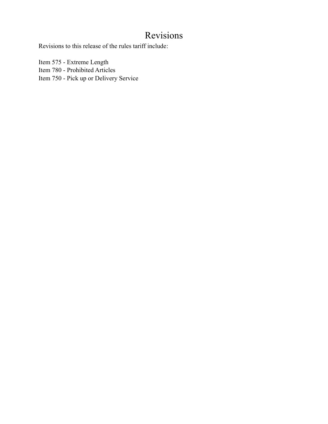## Revisions

Revisions to this release of the rules tariff include:

Item 575 - Extreme Length Item 780 - Prohibited Articles Item 750 - Pick up or Delivery Service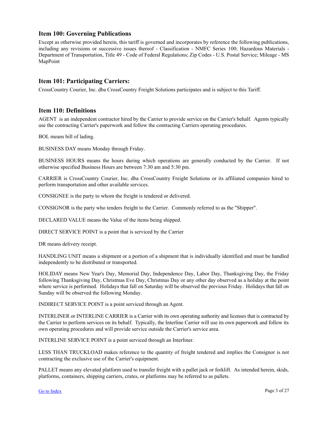#### <span id="page-2-0"></span>**Item 100: Governing Publications**

Except as otherwise provided herein, this tariff is governed and incorporates by reference the following publications, including any revisions or successive issues thereof - Classification - NMFC Series 100; Hazardous Materials - Department of Transportation, Title 49 - Code of Federal Regulations; Zip Codes - U.S. Postal Service; Mileage - MS MapPoint

#### **Item 101: Participating Carriers:**

CrossCountry Courier, Inc. dba CrossCountry Freight Solutions participates and is subject to this Tariff.

#### **Item 110: Definitions**

AGENT is an independent contractor hired by the Carrier to provide service on the Carrier's behalf. Agents typically use the contracting Carrier's paperwork and follow the contracting Carriers operating procedures.

BOL means bill of lading.

BUSINESS DAY means Monday through Friday.

BUSINESS HOURS means the hours during which operations are generally conducted by the Carrier. If not otherwise specified Business Hours are between 7:30 am and 5:30 pm.

CARRIER is CrossCountry Courier, Inc. dba CrossCountry Freight Solutions or its affiliated companies hired to perform transportation and other available services.

CONSIGNEE is the party to whom the freight is tendered or delivered.

CONSIGNOR is the party who tenders freight to the Carrier. Commonly referred to as the "Shipper".

DECLARED VALUE means the Value of the items being shipped.

DIRECT SERVICE POINT is a point that is serviced by the Carrier

DR means delivery receipt.

HANDLING UNIT means a shipment or a portion of a shipment that is individually identified and must be handled independently to be distributed or transported.

HOLIDAY means New Year's Day, Memorial Day, Independence Day, Labor Day, Thanksgiving Day, the Friday following Thanksgiving Day, Christmas Eve Day, Christmas Day or any other day observed as a holiday at the point where service is performed. Holidays that fall on Saturday will be observed the previous Friday. Holidays that fall on Sunday will be observed the following Monday.

INDIRECT SERVICE POINT is a point serviced through an Agent.

INTERLINER or INTERLINE CARRIER is a Carrier with its own operating authority and licenses that is contracted by the Carrier to perform services on its behalf. Typically, the Interline Carrier will use its own paperwork and follow its own operating procedures and will provide service outside the Carrier's service area.

INTERLINE SERVICE POINT is a point serviced through an Interliner.

LESS THAN TRUCKLOAD makes reference to the quantity of freight tendered and implies the Consignor is not contracting the exclusive use of the Carrier's equipment.

PALLET means any elevated platform used to transfer freight with a pallet jack or forklift. As intended herein, skids, platforms, containers, shipping carriers, crates, or platforms may be referred to as pallets.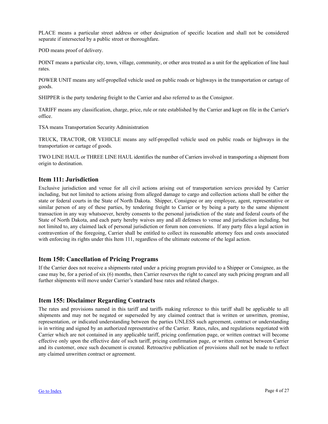<span id="page-3-0"></span>PLACE means a particular street address or other designation of specific location and shall not be considered separate if intersected by a public street or thoroughfare.

POD means proof of delivery.

POINT means a particular city, town, village, community, or other area treated as a unit for the application of line haul rates.

POWER UNIT means any self-propelled vehicle used on public roads or highways in the transportation or cartage of goods.

SHIPPER is the party tendering freight to the Carrier and also referred to as the Consignor.

TARIFF means any classification, charge, price, rule or rate established by the Carrier and kept on file in the Carrier's office.

TSA means Transportation Security Administration

TRUCK, TRACTOR, OR VEHICLE means any self-propelled vehicle used on public roads or highways in the transportation or cartage of goods.

TWO LINE HAUL or THREE LINE HAUL identifies the number of Carriers involved in transporting a shipment from origin to destination.

#### **Item 111: Jurisdiction**

Exclusive jurisdiction and venue for all civil actions arising out of transportation services provided by Carrier including, but not limited to actions arising from alleged damage to cargo and collection actions shall be either the state or federal courts in the State of North Dakota. Shipper, Consignee or any employee, agent, representative or similar person of any of these parties, by tendering freight to Carrier or by being a party to the same shipment transaction in any way whatsoever, hereby consents to the personal jurisdiction of the state and federal courts of the State of North Dakota, and each party hereby waives any and all defenses to venue and jurisdiction including, but not limited to, any claimed lack of personal jurisdiction or forum non conveniens. If any party files a legal action in contravention of the foregoing, Carrier shall be entitled to collect its reasonable attorney fees and costs associated with enforcing its rights under this Item 111, regardless of the ultimate outcome of the legal action.

#### **Item 150: Cancellation of Pricing Programs**

If the Carrier does not receive a shipments rated under a pricing program provided to a Shipper or Consignee, as the case may be, for a period of six (6) months, then Carrier reserves the right to cancel any such pricing program and all further shipments will move under Carrier's standard base rates and related charges.

#### **Item 155: Disclaimer Regarding Contracts**

The rates and provisions named in this tariff and tariffs making reference to this tariff shall be applicable to all shipments and may not be negated or superseded by any claimed contract that is written or unwritten, promise, representation, or indicated understanding between the parties UNLESS such agreement, contract or understanding is in writing and signed by an authorized representative of the Carrier. Rates, rules, and regulations negotiated with Carrier which are not contained in any applicable tariff, pricing confirmation page, or written contract will become effective only upon the effective date of such tariff, pricing confirmation page, or written contract between Carrier and its customer, once such document is created. Retroactive publication of provisions shall not be made to reflect any claimed unwritten contract or agreement.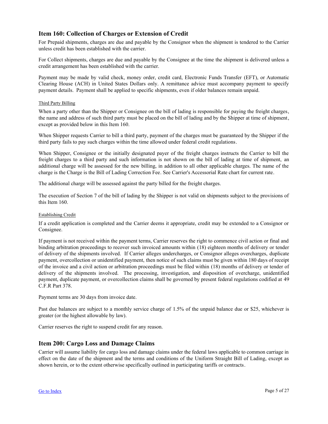#### <span id="page-4-0"></span>**Item 160: Collection of Charges or Extension of Credit**

For Prepaid shipments, charges are due and payable by the Consignor when the shipment is tendered to the Carrier unless credit has been established with the carrier.

For Collect shipments, charges are due and payable by the Consignee at the time the shipment is delivered unless a credit arrangement has been established with the carrier.

Payment may be made by valid check, money order, credit card, Electronic Funds Transfer (EFT), or Automatic Clearing House (ACH) in United States Dollars only. A remittance advice must accompany payment to specify payment details. Payment shall be applied to specific shipments, even if older balances remain unpaid.

#### Third Party Billing

When a party other than the Shipper or Consignee on the bill of lading is responsible for paying the freight charges, the name and address of such third party must be placed on the bill of lading and by the Shipper at time of shipment, except as provided below in this Item 160.

When Shipper requests Carrier to bill a third party, payment of the charges must be guaranteed by the Shipper if the third party fails to pay such charges within the time allowed under federal credit regulations.

When Shipper, Consignee or the initially designated payer of the freight charges instructs the Carrier to bill the freight charges to a third party and such information is not shown on the bill of lading at time of shipment, an additional charge will be assessed for the new billing, in addition to all other applicable charges. The name of the charge is the Charge is the Bill of Lading Correction Fee. See Carrier's Accessorial Rate chart for current rate.

The additional charge will be assessed against the party billed for the freight charges.

The execution of Section 7 of the bill of lading by the Shipper is not valid on shipments subject to the provisions of this Item 160.

#### Establishing Credit

If a credit application is completed and the Carrier deems it appropriate, credit may be extended to a Consignor or Consignee.

If payment is not received within the payment terms, Carrier reserves the right to commence civil action or final and binding arbitration proceedings to recover such invoiced amounts within (18) eighteen months of delivery or tender of delivery of the shipments involved. If Carrier alleges undercharges, or Consignor alleges overcharges, duplicate payment, overcollection or unidentified payment, then notice of such claims must be given within 180 days of receipt of the invoice and a civil action or arbitration proceedings must be filed within (18) months of delivery or tender of delivery of the shipments involved. The processing, investigation, and disposition of overcharge, unidentified payment, duplicate payment, or overcollection claims shall be governed by present federal regulations codified at 49 C.F.R Part 378.

Payment terms are 30 days from invoice date.

Past due balances are subject to a monthly service charge of 1.5% of the unpaid balance due or \$25, whichever is greater (or the highest allowable by law).

Carrier reserves the right to suspend credit for any reason.

#### **Item 200: Cargo Loss and Damage Claims**

Carrier will assume liability for cargo loss and damage claims under the federal laws applicable to common carriage in effect on the date of the shipment and the terms and conditions of the Uniform Straight Bill of Lading, except as shown herein, or to the extent otherwise specifically outlined in participating tariffs or contracts.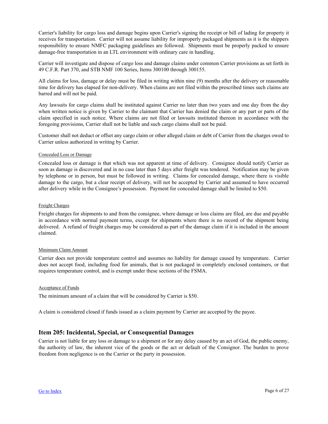<span id="page-5-0"></span>Carrier's liability for cargo loss and damage begins upon Carrier's signing the receipt or bill of lading for property it receives for transportation. Carrier will not assume liability for improperly packaged shipments as it is the shippers responsibility to ensure NMFC packaging guidelines are followed. Shipments must be properly packed to ensure damage-free transportation in an LTL environment with ordinary care in handling.

Carrier will investigate and dispose of cargo loss and damage claims under common Carrier provisions as set forth in 49 C.F.R. Part 370, and STB NMF 100 Series, Items 300100 through 300155.

All claims for loss, damage or delay must be filed in writing within nine (9) months after the delivery or reasonable time for delivery has elapsed for non-delivery. When claims are not filed within the prescribed times such claims are barred and will not be paid.

Any lawsuits for cargo claims shall be instituted against Carrier no later than two years and one day from the day when written notice is given by Carrier to the claimant that Carrier has denied the claim or any part or parts of the claim specified in such notice. Where claims are not filed or lawsuits instituted thereon in accordance with the foregoing provisions, Carrier shall not be liable and such cargo claims shall not be paid.

Customer shall not deduct or offset any cargo claim or other alleged claim or debt of Carrier from the charges owed to Carrier unless authorized in writing by Carrier.

#### Concealed Loss or Damage

Concealed loss or damage is that which was not apparent at time of delivery. Consignee should notify Carrier as soon as damage is discovered and in no case later than 5 days after freight was tendered. Notification may be given by telephone or in person, but must be followed in writing. Claims for concealed damage, where there is visible damage to the cargo, but a clear receipt of delivery, will not be accepted by Carrier and assumed to have occurred after delivery while in the Consignee's possession. Payment for concealed damage shall be limited to \$50.

#### Freight Charges

Freight charges for shipments to and from the consignee, where damage or loss claims are filed, are due and payable in accordance with normal payment terms, except for shipments where there is no record of the shipment being delivered. A refund of freight charges may be considered as part of the damage claim if it is included in the amount claimed.

#### Minimum Claim Amount

Carrier does not provide temperature control and assumes no liability for damage caused by temperature. Carrier does not accept food, including food for animals, that is not packaged in completely enclosed containers, or that requires temperature control, and is exempt under these sections of the FSMA.

#### Acceptance of Funds

The minimum amount of a claim that will be considered by Carrier is \$50.

A claim is considered closed if funds issued as a claim payment by Carrier are accepted by the payee.

#### **Item 205: Incidental, Special, or Consequential Damages**

Carrier is not liable for any loss or damage to a shipment or for any delay caused by an act of God, the public enemy, the authority of law, the inherent vice of the goods or the act or default of the Consignor. The burden to prove freedom from negligence is on the Carrier or the party in possession.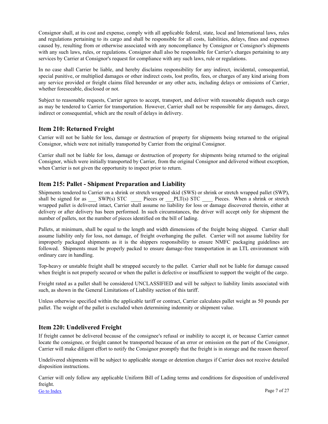<span id="page-6-0"></span>Consignor shall, at its cost and expense, comply with all applicable federal, state, local and International laws, rules and regulations pertaining to its cargo and shall be responsible for all costs, liabilities, delays, fines and expenses caused by, resulting from or otherwise associated with any noncompliance by Consignor or Consignor's shipments with any such laws, rules, or regulations. Consignor shall also be responsible for Carrier's charges pertaining to any services by Carrier at Consignor's request for compliance with any such laws, rule or regulations.

In no case shall Carrier be liable, and hereby disclaims responsibility for any indirect, incidental, consequential, special punitive, or multiplied damages or other indirect costs, lost profits, fees, or charges of any kind arising from any service provided or freight claims filed hereunder or any other acts, including delays or omissions of Carrier, whether foreseeable, disclosed or not.

Subject to reasonable requests, Carrier agrees to accept, transport, and deliver with reasonable dispatch such cargo as may be tendered to Carrier for transportation. However, Carrier shall not be responsible for any damages, direct, indirect or consequential, which are the result of delays in delivery.

#### **Item 210: Returned Freight**

Carrier will not be liable for loss, damage or destruction of property for shipments being returned to the original Consignor, which were not initially transported by Carrier from the original Consignor.

Carrier shall not be liable for loss, damage or destruction of property for shipments being returned to the original Consignor, which were initially transported by Carrier, from the original Consignor and delivered without exception, when Carrier is not given the opportunity to inspect prior to return.

### **Item 215: Pallet - Shipment Preparation and Liability**

Shipments tendered to Carrier on a shrink or stretch wrapped skid (SWS) or shrink or stretch wrapped pallet (SWP), shall be signed for as \_\_\_\_ SWP(s) STC \_\_\_\_\_\_\_ Pieces or \_\_\_PLT(s) STC \_\_\_\_\_\_\_ Pieces. When a shrink or stretch wrapped pallet is delivered intact, Carrier shall assume no liability for loss or damage discovered therein, either at delivery or after delivery has been performed. In such circumstances, the driver will accept only for shipment the number of pallets, not the number of pieces identified on the bill of lading.

Pallets, at minimum, shall be equal to the length and width dimensions of the freight being shipped. Carrier shall assume liability only for loss, not damage, of freight overhanging the pallet. Carrier will not assume liability for improperly packaged shipments as it is the shippers responsibility to ensure NMFC packaging guidelines are followed. Shipments must be properly packed to ensure damage-free transportation in an LTL environment with ordinary care in handling.

Top-heavy or unstable freight shall be strapped securely to the pallet. Carrier shall not be liable for damage caused when freight is not properly secured or when the pallet is defective or insufficient to support the weight of the cargo.

Freight rated as a pallet shall be considered UNCLASSIFIED and will be subject to liability limits associated with such, as shown in the General Limitations of Liability section of this tariff.

Unless otherwise specified within the applicable tariff or contract, Carrier calculates pallet weight as 50 pounds per pallet. The weight of the pallet is excluded when determining indemnity or shipment value.

#### **Item 220: Undelivered Freight**

If freight cannot be delivered because of the consignee's refusal or inability to accept it, or because Carrier cannot locate the consignee, or freight cannot be transported because of an error or omission on the part of the Consignor, Carrier will make diligent effort to notify the Consignor promptly that the freight is in storage and the reason thereof.

Undelivered shipments will be subject to applicable storage or detention charges if Carrier does not receive detailed disposition instructions.

Carrier will only follow any applicable Uniform Bill of Lading terms and conditions for disposition of undelivered freight.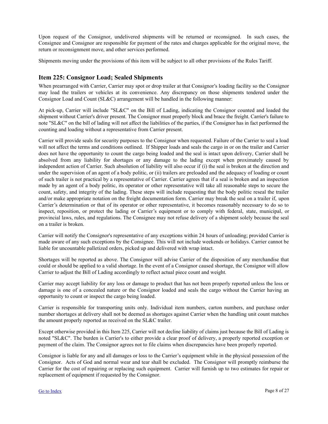<span id="page-7-0"></span>Upon request of the Consignor, undelivered shipments will be returned or reconsigned. In such cases, the Consignee and Consignor are responsible for payment of the rates and charges applicable for the original move, the return or reconsignment move, and other services performed.

Shipments moving under the provisions of this item will be subject to all other provisions of the Rules Tariff.

#### **Item 225: Consignor Load; Sealed Shipments**

When prearranged with Carrier, Carrier may spot or drop trailer at that Consignor's loading facility so the Consignor may load the trailers or vehicles at its convenience. Any discrepancy on those shipments tendered under the Consignor Load and Count (SL&C) arrangement will be handled in the following manner:

At pick-up, Carrier will include "SL&C" on the Bill of Lading, indicating the Consignor counted and loaded the shipment without Carrier's driver present. The Consignor must properly block and brace the freight. Carrier's failure to note "SL&C" on the bill of lading will not affect the liabilities of the parties, if the Consignor has in fact performed the counting and loading without a representative from Carrier present.

Carrier will provide seals for security purposes to the Consignor when requested. Failure of the Carrier to seal a load will not affect the terms and conditions outlined. If Shipper loads and seals the cargo in or on the trailer and Carrier does not have the opportunity to count the cargo being loaded and the seal is intact upon delivery, Carrier shall be absolved from any liability for shortages or any damage to the lading except when proximately caused by independent action of Carrier. Such absolution of liability will also occur if (i) the seal is broken at the direction and under the supervision of an agent of a body politic, or (ii) trailers are preloaded and the adequacy of loading or count of such trailer is not practical by a representative of Carrier. Carrier agrees that if a seal is broken and an inspection made by an agent of a body politic, its operator or other representative will take all reasonable steps to secure the count, safety, and integrity of the lading. These steps will include requesting that the body politic reseal the trailer and/or make appropriate notation on the freight documentation form. Carrier may break the seal on a trailer if, upon Carrier's determination or that of its operator or other representative, it becomes reasonably necessary to do so to inspect, reposition, or protect the lading or Carrier's equipment or to comply with federal, state, municipal, or provincial laws, rules, and regulations. The Consignee may not refuse delivery of a shipment solely because the seal on a trailer is broken.

Carrier will notify the Consignor's representative of any exceptions within 24 hours of unloading; provided Carrier is made aware of any such exceptions by the Consignee. This will not include weekends or holidays. Carrier cannot be liable for uncountable palletized orders, picked up and delivered with wrap intact.

Shortages will be reported as above. The Consignor will advise Carrier of the disposition of any merchandise that could or should be applied to a valid shortage. In the event of a Consignor caused shortage, the Consignor will allow Carrier to adjust the Bill of Lading accordingly to reflect actual piece count and weight.

Carrier may accept liability for any loss or damage to product that has not been properly reported unless the loss or damage is one of a concealed nature or the Consignor loaded and seals the cargo without the Carrier having an opportunity to count or inspect the cargo being loaded.

Carrier is responsible for transporting units only. Individual item numbers, carton numbers, and purchase order number shortages at delivery shall not be deemed as shortages against Carrier when the handling unit count matches the amount properly reported as received on the SL&C trailer.

Except otherwise provided in this Item 225, Carrier will not decline liability of claims just because the Bill of Lading is noted "SL&C". The burden is Carrier's to either provide a clear proof of delivery, a properly reported exception or payment of the claim. The Consignor agrees not to file claims when discrepancies have been properly reported.

Consignor is liable for any and all damages or loss to the Carrier's equipment while in the physical possession of the Consignor. Acts of God and normal wear and tear shall be excluded. The Consignor will promptly reimburse the Carrier for the cost of repairing or replacing such equipment. Carrier will furnish up to two estimates for repair or replacement of equipment if requested by the Consignor.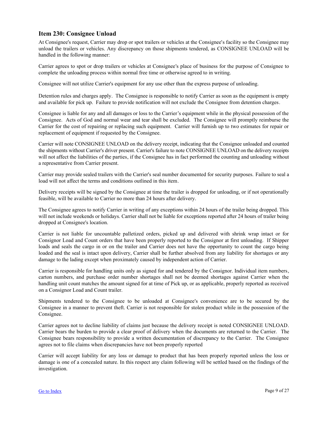#### <span id="page-8-0"></span>**Item 230: Consignee Unload**

At Consignee's request, Carrier may drop or spot trailers or vehicles at the Consignee's facility so the Consignee may unload the trailers or vehicles. Any discrepancy on those shipments tendered, as CONSIGNEE UNLOAD will be handled in the following manner:

Carrier agrees to spot or drop trailers or vehicles at Consignee's place of business for the purpose of Consignee to complete the unloading process within normal free time or otherwise agreed to in writing.

Consignee will not utilize Carrier's equipment for any use other than the express purpose of unloading.

Detention rules and charges apply. The Consignee is responsible to notify Carrier as soon as the equipment is empty and available for pick up. Failure to provide notification will not exclude the Consignee from detention charges.

Consignee is liable for any and all damages or loss to the Carrier's equipment while in the physical possession of the Consignee. Acts of God and normal wear and tear shall be excluded. The Consignee will promptly reimburse the Carrier for the cost of repairing or replacing such equipment. Carrier will furnish up to two estimates for repair or replacement of equipment if requested by the Consignee.

Carrier will note CONSIGNEE UNLOAD on the delivery receipt, indicating that the Consignee unloaded and counted the shipments without Carrier's driver present. Carrier's failure to note CONSIGNEE UNLOAD on the delivery receipts will not affect the liabilities of the parties, if the Consignee has in fact performed the counting and unloading without a representative from Carrier present.

Carrier may provide sealed trailers with the Carrier's seal number documented for security purposes. Failure to seal a load will not affect the terms and conditions outlined in this item.

Delivery receipts will be signed by the Consignee at time the trailer is dropped for unloading, or if not operationally feasible, will be available to Carrier no more than 24 hours after delivery.

The Consignee agrees to notify Carrier in writing of any exceptions within 24 hours of the trailer being dropped. This will not include weekends or holidays. Carrier shall not be liable for exceptions reported after 24 hours of trailer being dropped at Consignee's location.

Carrier is not liable for uncountable palletized orders, picked up and delivered with shrink wrap intact or for Consignor Load and Count orders that have been properly reported to the Consignor at first unloading. If Shipper loads and seals the cargo in or on the trailer and Carrier does not have the opportunity to count the cargo being loaded and the seal is intact upon delivery, Carrier shall be further absolved from any liability for shortages or any damage to the lading except when proximately caused by independent action of Carrier.

Carrier is responsible for handling units only as signed for and tendered by the Consignor. Individual item numbers, carton numbers, and purchase order number shortages shall not be deemed shortages against Carrier when the handling unit count matches the amount signed for at time of Pick up, or as applicable, properly reported as received on a Consignor Load and Count trailer.

Shipments tendered to the Consignee to be unloaded at Consignee's convenience are to be secured by the Consignee in a manner to prevent theft. Carrier is not responsible for stolen product while in the possession of the Consignee.

Carrier agrees not to decline liability of claims just because the delivery receipt is noted CONSIGNEE UNLOAD. Carrier bears the burden to provide a clear proof of delivery when the documents are returned to the Carrier. The Consignee bears responsibility to provide a written documentation of discrepancy to the Carrier. The Consignee agrees not to file claims when discrepancies have not been properly reported

Carrier will accept liability for any loss or damage to product that has been properly reported unless the loss or damage is one of a concealed nature. In this respect any claim following will be settled based on the findings of the investigation.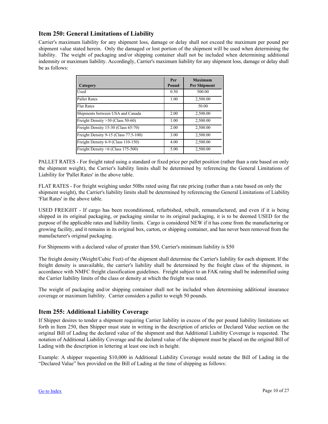#### <span id="page-9-0"></span>**Item 250: General Limitations of Liability**

Carrier's maximum liability for any shipment loss, damage or delay shall not exceed the maximum per pound per shipment value stated herein. Only the damaged or lost portion of the shipment will be used when determining the liability. The weight of packaging and/or shipping container shall not be included when determining additional indemnity or maximum liability. Accordingly, Carrier's maximum liability for any shipment loss, damage or delay shall be as follows:

| Category                              | Per<br>Pound | <b>Maximum</b><br><b>Per Shipment</b> |
|---------------------------------------|--------------|---------------------------------------|
| Used                                  | 0.50         | 500.00                                |
| <b>Pallet Rates</b>                   | 1.00         | 2,500.00                              |
| <b>Flat Rates</b>                     |              | 50.00                                 |
| Shipments between USA and Canada      | 2.00         | 2,500.00                              |
| Freight Density > 30 (Class 50-60)    | 1.00         | 2,500.00                              |
| Freight Density 15-30 (Class 65-70)   | 2.00         | 2,500.00                              |
| Freight Density 9-15 (Class 77.5-100) | 3.00         | 2,500.00                              |
| Freight Density 6-9 (Class 110-150)   | 4.00         | 2,500.00                              |
| Freight Density <6 (Class 175-500)    | 5.00         | 2,500.00                              |

PALLET RATES - For freight rated using a standard or fixed price per pallet position (rather than a rate based on only the shipment weight), the Carrier's liability limits shall be determined by referencing the General Limitations of Liability for 'Pallet Rates' in the above table.

FLAT RATES - For freight weighing under 50lbs rated using flat rate pricing (rather than a rate based on only the shipment weight), the Carrier's liability limits shall be determined by referencing the General Limitations of Liability 'Flat Rates' in the above table.

USED FREIGHT - If cargo has been reconditioned, refurbished, rebuilt, remanufactured, and even if it is being shipped in its original packaging, or packaging similar to its original packaging, it is to be deemed USED for the purpose of the applicable rates and liability limits. Cargo is considered NEW if it has come from the manufacturing or growing facility, and it remains in its original box, carton, or shipping container, and has never been removed from the manufacturer's original packaging.

For Shipments with a declared value of greater than \$50, Carrier's minimum liability is \$50

The freight density (Weight/Cubic Feet) of the shipment shall determine the Carrier's liability for each shipment. If the freight density is unavailable, the carrier's liability shall be determined by the freight class of the shipment, in accordance with NMFC freight classification guidelines. Freight subject to an FAK rating shall be indemnified using the Carrier liability limits of the class or density at which the freight was rated.

The weight of packaging and/or shipping container shall not be included when determining additional insurance coverage or maximum liability. Carrier considers a pallet to weigh 50 pounds.

#### **Item 255: Additional Liability Coverage**

If Shipper desires to tender a shipment requiring Carrier liability in excess of the per pound liability limitations set forth in Item 250, then Shipper must state in writing in the description of articles or Declared Value section on the original Bill of Lading the declared value of the shipment and that Additional Liability Coverage is requested. The notation of Additional Liability Coverage and the declared value of the shipment must be placed on the original Bill of Lading with the description in lettering at least one inch in height.

Example: A shipper requesting \$10,000 in Additional Liability Coverage would notate the Bill of Lading in the "Declared Value" box provided on the Bill of Lading at the time of shipping as follows: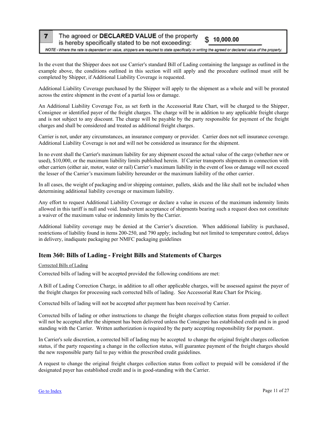<span id="page-10-0"></span> $\overline{7}$ 

#### The agreed or DECLARED VALUE of the property  $$10,000.00$

is hereby specifically stated to be not exceeding:

NOTE - Where the rate is dependant on value, shippers are required to state specifically in writing the agreed or declared value of the property.

In the event that the Shipper does not use Carrier's standard Bill of Lading containing the language as outlined in the example above, the conditions outlined in this section will still apply and the procedure outlined must still be completed by Shipper, if Additional Liability Coverage is requested.

Additional Liability Coverage purchased by the Shipper will apply to the shipment as a whole and will be prorated across the entire shipment in the event of a partial loss or damage.

An Additional Liability Coverage Fee, as set forth in the Accessorial Rate Chart, will be charged to the Shipper, Consignee or identified payer of the freight charges. The charge will be in addition to any applicable freight charge and is not subject to any discount. The charge will be payable by the party responsible for payment of the freight charges and shall be considered and treated as additional freight charges.

Carrier is not, under any circumstances, an insurance company or provider. Carrier does not sell insurance coverage. Additional Liability Coverage is not and will not be considered as insurance for the shipment.

In no event shall the Carrier's maximum liability for any shipment exceed the actual value of the cargo (whether new or used), \$10,000, or the maximum liability limits published herein. If Carrier transports shipments in connection with other carriers (either air, motor, water or rail) Carrier's maximum liability in the event of loss or damage will not exceed the lesser of the Carrier's maximum liability hereunder or the maximum liability of the other carrier.

In all cases, the weight of packaging and/or shipping container, pallets, skids and the like shall not be included when determining additional liability coverage or maximum liability.

Any effort to request Additional Liability Coverage or declare a value in excess of the maximum indemnity limits allowed in this tariff is null and void. Inadvertent acceptance of shipments bearing such a request does not constitute a waiver of the maximum value or indemnity limits by the Carrier.

Additional liability coverage may be denied at the Carrier's discretion. When additional liability is purchased, restrictions of liability found in items 200-250, and 790 apply; including but not limited to temperature control, delays in delivery, inadiquate packaging per NMFC packaging guidelines

#### **Item 360: Bills of Lading - Freight Bills and Statements of Charges**

#### Corrected Bills of Lading

Corrected bills of lading will be accepted provided the following conditions are met:

A Bill of Lading Correction Charge, in addition to all other applicable charges, will be assessed against the payer of the freight charges for processing such corrected bills of lading. See Accessorial Rate Chart for Pricing.

Corrected bills of lading will not be accepted after payment has been received by Carrier.

Corrected bills of lading or other instructions to change the freight charges collection status from prepaid to collect will not be accepted after the shipment has been delivered unless the Consignee has established credit and is in good standing with the Carrier. Written authorization is required by the party accepting responsibility for payment.

In Carrier's sole discretion, a corrected bill of lading may be accepted to change the original freight charges collection status, if the party requesting a change in the collection status, will guarantee payment of the freight charges should the new responsible party fail to pay within the prescribed credit guidelines.

A request to change the original freight charges collection status from collect to prepaid will be considered if the designated payer has established credit and is in good-standing with the Carrier.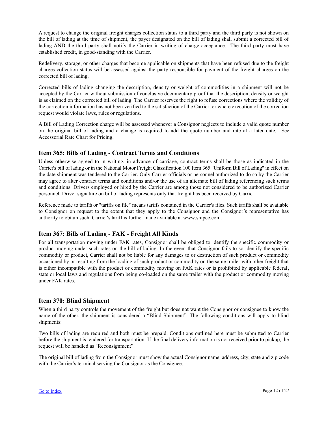<span id="page-11-0"></span>A request to change the original freight charges collection status to a third party and the third party is not shown on the bill of lading at the time of shipment, the payer designated on the bill of lading shall submit a corrected bill of lading AND the third party shall notify the Carrier in writing of charge acceptance. The third party must have established credit, in good-standing with the Carrier.

Redelivery, storage, or other charges that become applicable on shipments that have been refused due to the freight charges collection status will be assessed against the party responsible for payment of the freight charges on the corrected bill of lading.

Corrected bills of lading changing the description, density or weight of commodities in a shipment will not be accepted by the Carrier without submission of conclusive documentary proof that the description, density or weight is as claimed on the corrected bill of lading. The Carrier reserves the right to refuse corrections where the validity of the correction information has not been verified to the satisfaction of the Carrier, or where execution of the correction request would violate laws, rules or regulations.

A Bill of Lading Correction charge will be assessed whenever a Consignor neglects to include a valid quote number on the original bill of lading and a change is required to add the quote number and rate at a later date. See Accessorial Rate Chart for Pricing.

#### **Item 365: Bills of Lading - Contract Terms and Conditions**

Unless otherwise agreed to in writing, in advance of carriage, contract terms shall be those as indicated in the Carrier's bill of lading or in the National Motor Freight Classification 100 Item 365 "Uniform Bill of Lading" in effect on the date shipment was tendered to the Carrier. Only Carrier officials or personnel authorized to do so by the Carrier may agree to alter contract terms and conditions and/or the use of an alternate bill of lading referencing such terms and conditions. Drivers employed or hired by the Carrier are among those not considered to be authorized Carrier personnel. Driver signature on bill of lading represents only that freight has been received by Carrier

Reference made to tariffs or "tariffs on file" means tariffs contained in the Carrier's files. Such tariffs shall be available to Consignor on request to the extent that they apply to the Consignor and the Consignor's representative has authority to obtain such. Carrier's tariff is further made available at www.shipcc.com.

#### **Item 367: Bills of Lading - FAK - Freight All Kinds**

For all transportation moving under FAK rates, Consignor shall be obliged to identify the specific commodity or product moving under such rates on the bill of lading. In the event that Consignor fails to so identify the specific commodity or product, Carrier shall not be liable for any damages to or destruction of such product or commodity occasioned by or resulting from the loading of such product or commodity on the same trailer with other freight that is either incompatible with the product or commodity moving on FAK rates or is prohibited by applicable federal, state or local laws and regulations from being co-loaded on the same trailer with the product or commodity moving under FAK rates.

#### **Item 370: Blind Shipment**

When a third party controls the movement of the freight but does not want the Consignor or consignee to know the name of the other, the shipment is considered a "Blind Shipment". The following conditions will apply to blind shipments:

Two bills of lading are required and both must be prepaid. Conditions outlined here must be submitted to Carrier before the shipment is tendered for transportation. If the final delivery information is not received prior to pickup, the request will be handled as "Reconsignment".

The original bill of lading from the Consignor must show the actual Consignor name, address, city, state and zip code with the Carrier's terminal serving the Consignor as the Consignee.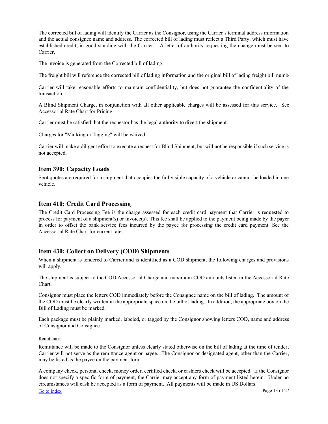<span id="page-12-0"></span>The corrected bill of lading will identify the Carrier as the Consignor, using the Carrier's terminal address information and the actual consignee name and address. The corrected bill of lading must reflect a Third Party; which must have established credit, in good-standing with the Carrier. A letter of authority requesting the change must be sent to Carrier.

The invoice is generated from the Corrected bill of lading.

The freight bill will reference the corrected bill of lading information and the original bill of lading freight bill number

Carrier will take reasonable efforts to maintain confidentiality, but does not guarantee the confidentiality of the transaction.

A Blind Shipment Charge, in conjunction with all other applicable charges will be assessed for this service. See Accessorial Rate Chart for Pricing.

Carrier must be satisfied that the requestor has the legal authority to divert the shipment.

Charges for "Marking or Tagging" will be waived.

Carrier will make a diligent effort to execute a request for Blind Shipment, but will not be responsible if such service is not accepted.

#### **Item 390: Capacity Loads**

Spot quotes are required for a shipment that occupies the full visible capacity of a vehicle or cannot be loaded in one vehicle.

#### **Item 410: Credit Card Processing**

The Credit Card Processing Fee is the charge assessed for each credit card payment that Carrier is requested to process for payment of a shipment(s) or invoice(s). This fee shall be applied to the payment being made by the payer in order to offset the bank service fees incurred by the payee for processing the credit card payment. See the Accessorial Rate Chart for current rates.

#### **Item 430: Collect on Delivery (COD) Shipments**

When a shipment is tendered to Carrier and is identified as a COD shipment, the following charges and provisions will apply.

The shipment is subject to the COD Accessorial Charge and maximum COD amounts listed in the Accessorial Rate Chart.

Consignor must place the letters COD immediately before the Consignee name on the bill of lading. The amount of the COD must be clearly written in the appropriate space on the bill of lading. In addition, the appropriate box on the Bill of Lading must be marked.

Each package must be plainly marked, labeled, or tagged by the Consignor showing letters COD, name and address of Consignor and Consignee.

#### **Remittance**

Remittance will be made to the Consignor unless clearly stated otherwise on the bill of lading at the time of tender. Carrier will not serve as the remittance agent or payee. The Consignor or designated agent, other than the Carrier, may be listed as the payee on the payment form.

A company check, personal check, money order, certified check, or cashiers check will be accepted. If the Consignor does not specify a specific form of payment, the Carrier may accept any form of payment listed herein. Under no circumstances will cash be accepted as a form of payment. All payments will be made in US Dollars.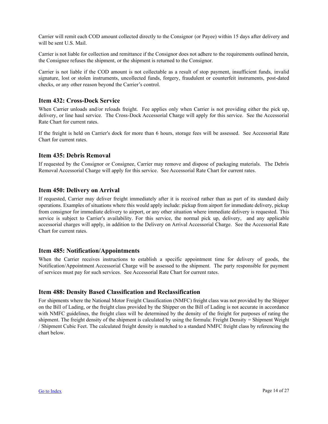<span id="page-13-0"></span>Carrier will remit each COD amount collected directly to the Consignor (or Payee) within 15 days after delivery and will be sent U.S. Mail.

Carrier is not liable for collection and remittance if the Consignor does not adhere to the requirements outlined herein, the Consignee refuses the shipment, or the shipment is returned to the Consignor.

Carrier is not liable if the COD amount is not collectable as a result of stop payment, insufficient funds, invalid signature, lost or stolen instruments, uncollected funds, forgery, fraudulent or counterfeit instruments, post-dated checks, or any other reason beyond the Carrier's control.

#### **Item 432: Cross-Dock Service**

When Carrier unloads and/or reloads freight. Fee applies only when Carrier is not providing either the pick up, delivery, or line haul service. The Cross-Dock Accessorial Charge will apply for this service. See the Accessorial Rate Chart for current rates.

If the freight is held on Carrier's dock for more than 6 hours, storage fees will be assessed. See Accessorial Rate Chart for current rates.

#### **Item 435: Debris Removal**

If requested by the Consignor or Consignee, Carrier may remove and dispose of packaging materials. The Debris Removal Accessorial Charge will apply for this service. See Accessorial Rate Chart for current rates.

#### **Item 450: Delivery on Arrival**

If requested, Carrier may deliver freight immediately after it is received rather than as part of its standard daily operations. Examples of situations where this would apply include: pickup from airport for immediate delivery, pickup from consignor for immediate delivery to airport, or any other situation where immediate delivery is requested. This service is subject to Carrier's availability. For this service, the normal pick up, delivery, and any applicable accessorial charges will apply, in addition to the Delivery on Arrival Accessorial Charge. See the Accessorial Rate Chart for current rates.

#### **Item 485: Notification/Appointments**

When the Carrier receives instructions to establish a specific appointment time for delivery of goods, the Notification/Appointment Accessorial Charge will be assessed to the shipment. The party responsible for payment of services must pay for such services. See Accessorial Rate Chart for current rates.

#### **Item 488: Density Based Classification and Reclassification**

For shipments where the National Motor Freight Classification (NMFC) freight class was not provided by the Shipper on the Bill of Lading, or the freight class provided by the Shipper on the Bill of Lading is not accurate in accordance with NMFC guidelines, the freight class will be determined by the density of the freight for purposes of rating the shipment. The freight density of the shipment is calculated by using the formula: Freight Density = Shipment Weight / Shipment Cubic Feet. The calculated freight density is matched to a standard NMFC freight class by referencing the chart below.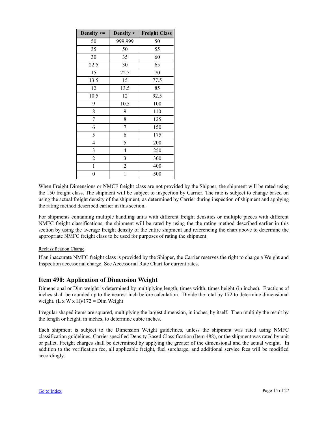<span id="page-14-0"></span>

| Density $>=$   | Density $\leq$ | <b>Freight Class</b> |
|----------------|----------------|----------------------|
| 50             | 999,999        | 50                   |
| 35             | 50             | 55                   |
| 30             | 35             | 60                   |
| 22.5           | 30             | 65                   |
| 15             | 22.5           | 70                   |
| 13.5           | 15             | 77.5                 |
| 12             | 13.5           | 85                   |
| 10.5           | 12             | 92.5                 |
| 9              | 10.5           | 100                  |
| 8              | 9              | 110                  |
| 7              | 8              | 125                  |
| 6              | 7              | 150                  |
| 5              | 6              | 175                  |
| 4              | 5              | 200                  |
| 3              | $\overline{4}$ | 250                  |
| $\overline{c}$ | 3              | 300                  |
| $\mathbf{1}$   | $\overline{c}$ | 400                  |
| $\overline{0}$ | $\mathbf{1}$   | 500                  |

When Freight Dimensions or NMCF freight class are not provided by the Shipper, the shipment will be rated using the 150 freight class. The shipment will be subject to inspection by Carrier. The rate is subject to change based on using the actual freight density of the shipment, as determined by Carrier during inspection of shipment and applying the rating method described earlier in this section.

For shipments containing multiple handling units with different freight densities or multiple pieces with different NMFC freight classifications, the shipment will be rated by using the the rating method described earlier in this section by using the average freight density of the entire shipment and referencing the chart above to determine the appropriate NMFC freight class to be used for purposes of rating the shipment.

#### Reclassification Charge

If an inaccurate NMFC freight class is provided by the Shipper, the Carrier reserves the right to charge a Weight and Inspection accessorial charge. See Accessorial Rate Chart for current rates.

#### **Item 490: Application of Dimension Weight**

Dimensional or Dim weight is determined by multiplying length, times width, times height (in inches). Fractions of inches shall be rounded up to the nearest inch before calculation. Divide the total by 172 to determine dimensional weight.  $(L x W x H)/172 = Dim Weight$ 

Irregular shaped items are squared, multiplying the largest dimension, in inches, by itself. Then multiply the result by the length or height, in inches, to determine cubic inches.

Each shipment is subject to the Dimension Weight guidelines, unless the shipment was rated using NMFC classification guidelines, Carrier specified Density Based Classification (Item 488), or the shipment was rated by unit or pallet. Freight charges shall be determined by applying the greater of the dimensional and the actual weight. In addition to the verification fee, all applicable freight, fuel surcharge, and additional service fees will be modified accordingly.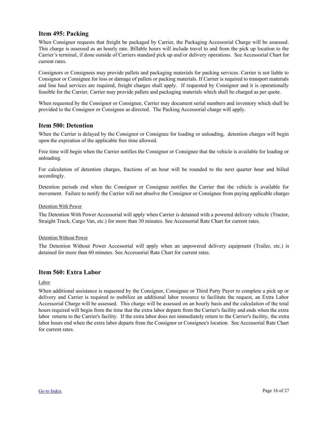#### <span id="page-15-0"></span>**Item 495: Packing**

When Consignor requests that freight be packaged by Carrier, the Packaging Accessorial Charge will be assessed. This charge is assessed as an hourly rate. Billable hours will include travel to and from the pick up location to the Carrier's terminal, if done outside of Carriers standard pick up and/or delivery operations. See Accessorial Chart for current rates.

Consignors or Consignees may provide pallets and packaging materials for packing services. Carrier is not liable to Consignor or Consignee for loss or damage of pallets or packing materials. If Carrier is required to transport materials and line haul services are required, freight charges shall apply. If requested by Consignor and it is operationally feasible for the Carrier, Carrier may provide pallets and packaging materials which shall be charged as per quote.

When requested by the Consignor or Consignee, Carrier may document serial numbers and inventory which shall be provided to the Consignor or Consignee as directed. The Packing Accessorial charge will apply.

#### **Item 500: Detention**

When the Carrier is delayed by the Consignor or Consignee for loading or unloading, detention charges will begin upon the expiration of the applicable free time allowed.

Free time will begin when the Carrier notifies the Consignor or Consignee that the vehicle is available for loading or unloading.

For calculation of detention charges, fractions of an hour will be rounded to the next quarter hour and billed accordingly.

Detention periods end when the Consignor or Consignee notifies the Carrier that the vehicle is available for movement. Failure to notify the Carrier will not absolve the Consignor or Consignee from paying applicable charges.

#### Detention With Power

The Detention With Power Accessorial will apply when Carrier is detained with a powered delivery vehicle (Tractor, Straight Truck, Cargo Van, etc.) for more than 30 minutes. See Accessorial Rate Chart for current rates.

#### Detention Without Power

The Detention Without Power Accessorial will apply when an unpowered delivery equipment (Trailer, etc.) is detained for more than 60 minutes. See Accessorial Rate Chart for current rates.

#### **Item 560: Extra Labor**

Labor

When additional assistance is requested by the Consignor, Consignee or Third Party Payer to complete a pick up or delivery and Carrier is required to mobilize an additional labor resource to facilitate the request, an Extra Labor Accessorial Charge will be assessed. This charge will be assessed on an hourly basis and the calculation of the total hours required will begin from the time that the extra labor departs from the Carrier's facility and ends when the extra labor returns to the Carrier's facility. If the extra labor does not immediately return to the Carrier's facility, the extra labor hours end when the extra labor departs from the Consignor or Consignee's location. See Accessorial Rate Chart for current rates.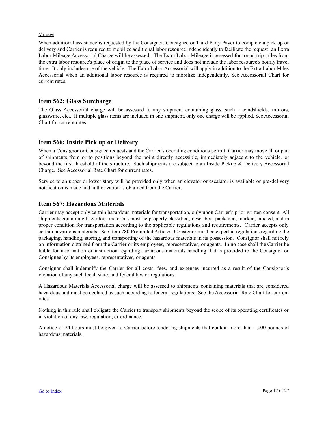#### <span id="page-16-0"></span>Mileage

When additional assistance is requested by the Consignor, Consignee or Third Party Payer to complete a pick up or delivery and Carrier is required to mobilize additional labor resource independently to facilitate the request, an Extra Labor Mileage Accessorial Charge will be assessed. The Extra Labor Mileage is assessed for round trip miles from the extra labor resource's place of origin to the place of service and does not include the labor resource's hourly travel time. It only includes use of the vehicle. The Extra Labor Accessorial will apply in addition to the Extra Labor Miles Accessorial when an additional labor resource is required to mobilize independently. See Accessorial Chart for current rates.

#### **Item 562: Glass Surcharge**

The Glass Accessorial charge will be assessed to any shipment containing glass, such a windshields, mirrors, glassware, etc.. If multiple glass items are included in one shipment, only one charge will be applied. See Accessorial Chart for current rates.

#### **Item 566: Inside Pick up or Delivery**

When a Consignor or Consignee requests and the Carrier's operating conditions permit, Carrier may move all or part of shipments from or to positions beyond the point directly accessible, immediately adjacent to the vehicle, or beyond the first threshold of the structure. Such shipments are subject to an Inside Pickup & Delivery Accessorial Charge. See Accessorial Rate Chart for current rates.

Service to an upper or lower story will be provided only when an elevator or escalator is available or pre-delivery notification is made and authorization is obtained from the Carrier.

#### **Item 567: Hazardous Materials**

Carrier may accept only certain hazardous materials for transportation, only upon Carrier's prior written consent. All shipments containing hazardous materials must be properly classified, described, packaged, marked, labeled, and in proper condition for transportation according to the applicable regulations and requirements. Carrier accepts only certain hazardous materials. See Item 780 Prohibited Articles. Consignor must be expert in regulations regarding the packaging, handling, storing, and transporting of the hazardous materials in its possession. Consignor shall not rely on information obtained from the Carrier or its employees, representatives, or agents. In no case shall the Carrier be liable for information or instruction regarding hazardous materials handling that is provided to the Consignor or Consignee by its employees, representatives, or agents.

Consignor shall indemnify the Carrier for all costs, fees, and expenses incurred as a result of the Consignor's violation of any such local, state, and federal law or regulations.

A Hazardous Materials Accessorial charge will be assessed to shipments containing materials that are considered hazardous and must be declared as such according to federal regulations. See the Accessorial Rate Chart for current rates.

Nothing in this rule shall obligate the Carrier to transport shipments beyond the scope of its operating certificates or in violation of any law, regulation, or ordinance.

A notice of 24 hours must be given to Carrier before tendering shipments that contain more than 1,000 pounds of hazardous materials.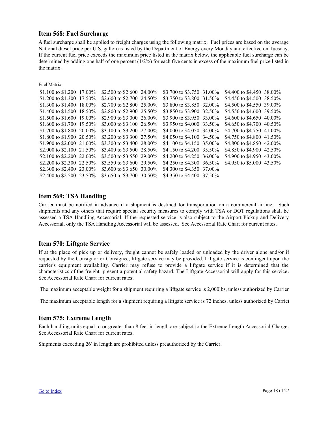#### <span id="page-17-0"></span>**Item 568: Fuel Surcharge**

A fuel surcharge shall be applied to freight charges using the following matrix. Fuel prices are based on the average National diesel price per U.S. gallon as listed by the Department of Energy every Monday and effective on Tuesday. If the current fuel price exceeds the maximum price listed in the matrix below, the applicable fuel surcharge can be determined by adding one half of one percent (1/2%) for each five cents in excess of the maximum fuel price listed in the matrix.

Fuel Matrix

| \$1.100 to \$1.200 17.00%  | \$2.500 to \$2.600 24.00% | \$3.700 to \$3.750 31.00%  | \$4.400 to \$4.450 38.00%  |  |
|----------------------------|---------------------------|----------------------------|----------------------------|--|
| \$1.200 to \$1.300 17.50%  | \$2,600 to \$2,700 24.50% | \$3.750 to \$3.800 31.50\% | \$4.450 to \$4.500 38.50\% |  |
| \$1.300 to \$1.400 18.00\% | \$2,700 to \$2,800 25,00% | \$3,800 to \$3,850 32,00%  | \$4.500 to \$4.550 39.00%  |  |
| \$1.400 to \$1.500 18.50\% | \$2,800 to \$2,900 25,50% | \$3.850 to \$3.900 32.50%  | \$4.550 to \$4.600 39.50%  |  |
| \$1.500 to \$1.600 19.00\% | \$2.900 to \$3.000 26.00% | \$3.900 to \$3.950 33.00%  | \$4,600 to \$4,650 40,00%  |  |
| \$1.600 to \$1.700 19.50\% | \$3,000 to \$3,100 26.50% | \$3.950 to \$4.000 33.50%  | \$4.650 to \$4.700 40.50%  |  |
| \$1.700 to \$1.800 20.00\% | \$3.100 to \$3.200 27.00% | \$4,000 to \$4,050 34,00%  | \$4.700 to \$4.750 41.00\% |  |
| \$1.800 to \$1.900 20.50%  | \$3.200 to \$3.300 27.50% | \$4.050 to \$4.100 34.50%  | \$4.750 to \$4.800 41.50\% |  |
| \$1.900 to \$2.000 21.00%  | \$3.300 to \$3.400 28.00% | \$4.100 to \$4.150 35.00%  | \$4,800 to \$4,850 42,00%  |  |
| \$2,000 to \$2,100 21.50\% | \$3,400 to \$3,500 28,50% | \$4.150 to \$4.200 35.50%  | \$4.850 to \$4.900 42.50%  |  |
| \$2.100 to \$2.200 22.00\% | \$3.500 to \$3.550 29.00% | \$4.200 to \$4.250 36.00%  | \$4.900 to \$4.950 43.00\% |  |
| \$2.200 to \$2.300 22.50%  | \$3.550 to \$3.600 29.50% | \$4.250 to \$4.300 36.50%  | \$4.950 to \$5.000 43.50\% |  |
| \$2,300 to \$2,400 23,00%  | \$3.600 to \$3.650 30.00% | \$4.300 to \$4.350 37.00%  |                            |  |
| \$2.400 to \$2.500 23.50%  | \$3.650 to \$3.700 30.50% | \$4.350 to \$4.400 37.50\% |                            |  |

#### **Item 569: TSA Handling**

Carrier must be notified in advance if a shipment is destined for transportation on a commercial airline. Such shipments and any others that require special security measures to comply with TSA or DOT regulations shall be assessed a TSA Handling Accessorial. If the requested service is also subject to the Airport Pickup and Delivery Accessorial, only the TSA Handling Accessorial will be assessed. See Accessorial Rate Chart for current rates.

#### **Item 570: Liftgate Service**

If at the place of pick up or delivery, freight cannot be safely loaded or unloaded by the driver alone and/or if requested by the Consignor or Consignee, liftgate service may be provided. Liftgate service is contingent upon the carrier's equipment availability. Carrier may refuse to provide a liftgate service if it is determined that the characteristics of the freight present a potential safety hazard. The Liftgate Accessorial will apply for this service. See Accessorial Rate Chart for current rates.

The maximum acceptable weight for a shipment requiring a liftgate service is 2,000lbs, unless authorized by Carrier.

The maximum acceptable length for a shipment requiring a liftgate service is 72 inches, unless authorized by Carrier.

#### **Item 575: Extreme Length**

Each handling units equal to or greater than 8 feet in length are subject to the Extreme Length Accessorial Charge. See Accessorial Rate Chart for current rates.

Shipments exceeding 26' in length are prohibited unless preauthorized by the Carrier.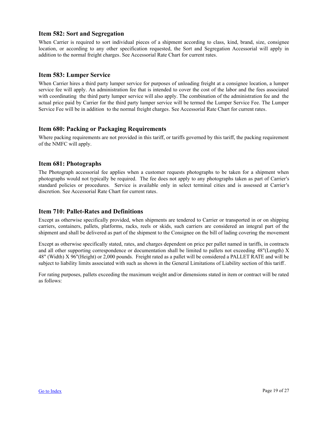#### <span id="page-18-0"></span>**Item 582: Sort and Segregation**

When Carrier is required to sort individual pieces of a shipment according to class, kind, brand, size, consignee location, or according to any other specification requested, the Sort and Segregation Accessorial will apply in addition to the normal freight charges. See Accessorial Rate Chart for current rates.

#### **Item 583: Lumper Service**

When Carrier hires a third party lumper service for purposes of unloading freight at a consignee location, a lumper service fee will apply. An administration fee that is intended to cover the cost of the labor and the fees associated with coordinating the third party lumper service will also apply. The combination of the administration fee and the actual price paid by Carrier for the third party lumper service will be termed the Lumper Service Fee. The Lumper Service Fee will be in addition to the normal freight charges. See Accessorial Rate Chart for current rates.

#### **Item 680: Packing or Packaging Requirements**

Where packing requirements are not provided in this tariff, or tariffs governed by this tariff, the packing requirement of the NMFC will apply.

#### **Item 681: Photographs**

The Photograph accessorial fee applies when a customer requests photographs to be taken for a shipment when photographs would not typically be required. The fee does not apply to any photographs taken as part of Carrier's standard policies or procedures. Service is available only in select terminal cities and is assessed at Carrier's discretion. See Accessorial Rate Chart for current rates.

#### **Item 710: Pallet-Rates and Definitions**

Except as otherwise specifically provided, when shipments are tendered to Carrier or transported in or on shipping carriers, containers, pallets, platforms, racks, reels or skids, such carriers are considered an integral part of the shipment and shall be delivered as part of the shipment to the Consignee on the bill of lading covering the movement.

Except as otherwise specifically stated, rates, and charges dependent on price per pallet named in tariffs, in contracts and all other supporting correspondence or documentation shall be limited to pallets not exceeding 48"(Length) X 48" (Width) X 96"(Height) or 2,000 pounds. Freight rated as a pallet will be considered a PALLET RATE and will be subject to liability limits associated with such as shown in the General Limitations of Liability section of this tariff.

For rating purposes, pallets exceeding the maximum weight and/or dimensions stated in item or contract will be rated as follows: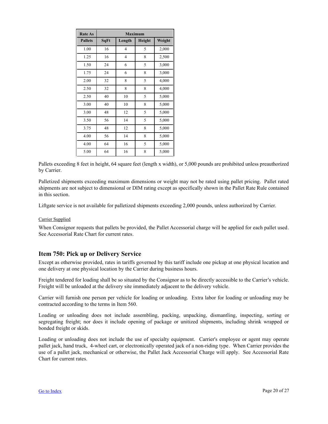<span id="page-19-0"></span>

| <b>Rate As</b> | <b>Maximum</b> |                |               |        |  |
|----------------|----------------|----------------|---------------|--------|--|
| <b>Pallets</b> | SqFt           | Length         | <b>Height</b> | Weight |  |
| 1.00           | 16             | $\overline{4}$ | 5             | 2,000  |  |
| 1.25           | 16             | $\overline{4}$ | 8             | 2,500  |  |
| 1.50           | 24             | 6              | 5             | 3,000  |  |
| 1.75           | 24             | 6              | 8             | 3,000  |  |
| 2.00           | 32             | 8              | 5             | 4,000  |  |
| 2.50           | 32             | 8              | 8             | 4,000  |  |
| 2.50           | 40             | 10             | 5             | 5,000  |  |
| 3.00           | 40             | 10             | 8             | 5,000  |  |
| 3.00           | 48             | 12             | 5             | 5,000  |  |
| 3.50           | 56             | 14             | 5             | 5,000  |  |
| 3.75           | 48             | 12             | 8             | 5,000  |  |
| 4.00           | 56             | 14             | 8             | 5,000  |  |
| 4.00           | 64             | 16             | 5             | 5,000  |  |
| 5.00           | 64             | 16             | 8             | 5,000  |  |

Pallets exceeding 8 feet in height, 64 square feet (length x width), or 5,000 pounds are prohibited unless preauthorized by Carrier.

Palletized shipments exceeding maximum dimensions or weight may not be rated using pallet pricing. Pallet rated shipments are not subject to dimensional or DIM rating except as specifically shown in the Pallet Rate Rule contained in this section.

Liftgate service is not available for palletized shipments exceeding 2,000 pounds, unless authorized by Carrier.

#### Carrier Supplied

When Consignor requests that pallets be provided, the Pallet Accessorial charge will be applied for each pallet used. See Accessorial Rate Chart for current rates.

#### **Item 750: Pick up or Delivery Service**

Except as otherwise provided, rates in tariffs governed by this tariff include one pickup at one physical location and one delivery at one physical location by the Carrier during business hours.

Freight tendered for loading shall be so situated by the Consignor as to be directly accessible to the Carrier's vehicle. Freight will be unloaded at the delivery site immediately adjacent to the delivery vehicle.

Carrier will furnish one person per vehicle for loading or unloading. Extra labor for loading or unloading may be contracted according to the terms in Item 560.

Loading or unloading does not include assembling, packing, unpacking, dismantling, inspecting, sorting or segregating freight; nor does it include opening of package or unitized shipments, including shrink wrapped or bonded freight or skids.

Loading or unloading does not include the use of specialty equipment. Carrier's employee or agent may operate pallet jack, hand truck, 4-wheel cart, or electronically operated jack of a non-riding type. When Carrier provides the use of a pallet jack, mechanical or otherwise, the Pallet Jack Accessorial Charge will apply. See Accessorial Rate Chart for current rates.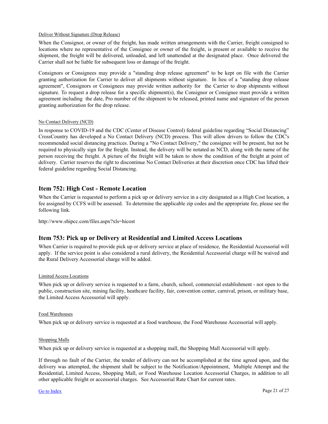#### <span id="page-20-0"></span>Deliver Without Signature (Drop Release)

When the Consignor, or owner of the freight, has made written arrangements with the Carrier, freight consigned to locations where no representative of the Consignee or owner of the freight, is present or available to receive the shipment, the freight will be delivered, unloaded, and left unattended at the designated place. Once delivered the Carrier shall not be liable for subsequent loss or damage of the freight.

Consignors or Consignees may provide a "standing drop release agreement" to be kept on file with the Carrier granting authorization for Carrier to deliver all shipments without signature. In lieu of a "standing drop release agreement", Consignors or Consignees may provide written authority for the Carrier to drop shipments without signature. To request a drop release for a specific shipment(s), the Consignor or Consignee must provide a written agreement including the date, Pro number of the shipment to be released, printed name and signature of the person granting authorization for the drop release.

#### No Contact Delivery (NCD)

In response to COVID-19 and the CDC (Center of Disease Control) federal guideline regarding "Social Distancing" CrossCountry has developed a No Contact Delivery (NCD) process. This will allow drivers to follow the CDC's recommended social distancing practices. During a "No Contact Delivery," the consignee will be present, but not be required to physically sign for the freight. Instead, the delivery will be notated as NCD, along with the name of the person receiving the freight. A picture of the freight will be taken to show the condition of the freight at point of delivery. Carrier reserves the right to discontinue No Contact Deliveries at their discretion once CDC has lifted their federal guideline regarding Social Distancing.

#### **Item 752: High Cost - Remote Location**

When the Carrier is requested to perform a pick up or delivery service in a city designated as a High Cost location, a fee assigned by CCFS will be assessed. To determine the applicable zip codes and the appropriate fee, please see the following link.

http://www.shipcc.com/files.aspx?xls=hicost

#### **Item 753: Pick up or Delivery at Residential and Limited Access Locations**

When Carrier is required to provide pick up or delivery service at place of residence, the Residential Accessorial will apply. If the service point is also considered a rural delivery, the Residential Accessorial charge will be waived and the Rural Delivery Accessorial charge will be added.

#### Limited Access Locations

When pick up or delivery service is requested to a farm, church, school, commercial establishment - not open to the public, construction site, mining facility, heathcare facility, fair, convention center, carnival, prison, or military base, the Limited Access Accessorial will apply.

#### Food Warehouses

When pick up or delivery service is requested at a food warehouse, the Food Warehouse Accessorial will apply.

#### Shopping Malls

When pick up or delivery service is requested at a shopping mall, the Shopping Mall Accessorial will apply.

If through no fault of the Carrier, the tender of delivery can not be accomplished at the time agreed upon, and the delivery was attempted, the shipment shall be subject to the Notification/Appointment, Multiple Attempt and the Residential, Limited Access, Shopping Mall, or Food Warehouse Location Accessorial Charges, in addition to all other applicable freight or accessorial charges. See Accessorial Rate Chart for current rates.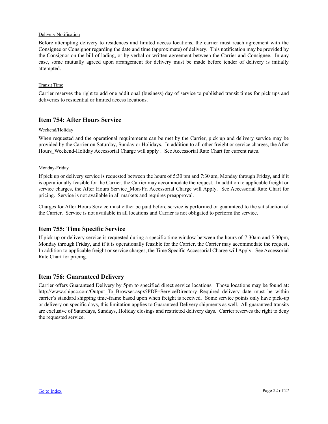#### <span id="page-21-0"></span>Delivery Notification

Before attempting delivery to residences and limited access locations, the carrier must reach agreement with the Consignee or Consignor regarding the date and time (approximate) of delivery. This notification may be provided by the Consignor on the bill of lading, or by verbal or written agreement between the Carrier and Consignee. In any case, some mutually agreed upon arrangement for delivery must be made before tender of delivery is initially attempted.

#### **Transit Time**

Carrier reserves the right to add one additional (business) day of service to published transit times for pick ups and deliveries to residential or limited access locations.

#### **Item 754: After Hours Service**

#### Weekend/Holiday

When requested and the operational requirements can be met by the Carrier, pick up and delivery service may be provided by the Carrier on Saturday, Sunday or Holidays. In addition to all other freight or service charges, the After Hours Weekend-Holiday Accessorial Charge will apply . See Accessorial Rate Chart for current rates.

#### Monday-Friday

If pick up or delivery service is requested between the hours of 5:30 pm and 7:30 am, Monday through Friday, and if it is operationally feasible for the Carrier, the Carrier may accommodate the request. In addition to applicable freight or service charges, the After Hours Service Mon-Fri Accessorial Charge will Apply. See Accessorial Rate Chart for pricing. Service is not available in all markets and requires preapproval.

Charges for After Hours Service must either be paid before service is performed or guaranteed to the satisfaction of the Carrier. Service is not available in all locations and Carrier is not obligated to perform the service.

#### **Item 755: Time Specific Service**

If pick up or delivery service is requested during a specific time window between the hours of 7:30am and 5:30pm, Monday through Friday, and if it is operationally feasible for the Carrier, the Carrier may accommodate the request. In addition to applicable freight or service charges, the Time Specific Accessorial Charge will Apply. See Accessorial Rate Chart for pricing.

#### **Item 756: Guaranteed Delivery**

Carrier offers Guaranteed Delivery by 5pm to specified direct service locations. Those locations may be found at: http://www.shipcc.com/Output\_To\_Browser.aspx?PDF=ServiceDirectory Required delivery date must be within carrier's standard shipping time-frame based upon when freight is received. Some service points only have pick-up or delivery on specific days, this limitation applies to Guaranteed Delivery shipments as well. All guaranteed transits are exclusive of Saturdays, Sundays, Holiday closings and restricted delivery days. Carrier reserves the right to deny the requested service.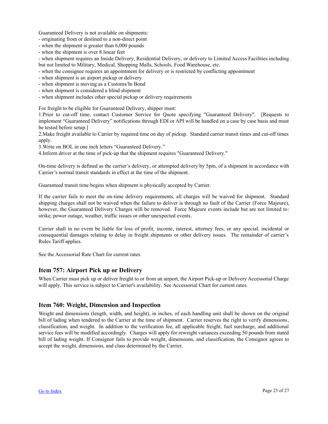<span id="page-22-0"></span>Guaranteed Delivery is not available on shipments:

- originating from or destined to a non-direct point

- when the shipment is greater than 6,000 pounds

- when the shipment is over 8 linear feet

- when shipment requires an Inside Delivery, Residential Delivery, or delivery to Limited Access Facilities including but not limited to Military, Medical, Shopping Malls, Schools, Food Warehouse, etc.

- when the consignee requires an appointment for delivery or is restricted by conflicting appointment

- when shipment is an airport pickup or delivery

- when shipment is moving as a Customs/In Bond

- when shipment is considered a blind shipment

- when shipment includes other special pickup or delivery requirements

For freight to be eligible for Guaranteed Delivery, shipper must:

1.Prior to cut-off time, contact Customer Service for Quote specifying "Guaranteed Delivery". [Requests to implement "Guaranteed Delivery" notifications through EDI or API will be handled on a case by case basis and must be tested before setup.]

2.Make freight available to Carrier by required time on day of pickup. Standard carrier transit times and cut-off times apply.

3.Write on BOL in one inch letters "Guaranteed Delivery."

4.Inform driver at the time of pick-up that the shipment requires "Guaranteed Delivery."

On-time delivery is defined as the carrier's delivery, or attempted delivery by 5pm, of a shipment in accordance with Carrier's normal transit standards in effect at the time of the shipment.

Guaranteed transit time begins when shipment is physically accepted by Carrier.

If the carrier fails to meet the on-time delivery requirements, all charges will be waived for shipment. Standard shipping charges shall not be waived when the failure to deliver is through no fault of the Carrier (Force Majeure), however, the Guaranteed Delivery Charges will be removed. Force Majeure events include but are not limited to: strike, power outage, weather, traffic issues or other unexpected events.

Carrier shall in no event be liable for loss of profit, income, interest, attorney fees, or any special, incidental or consequential damages relating to delay in freight shipments or other delivery issues. The remainder of carrier's Rules Tariff applies.

See the Accessorial Rate Chart for current rates.

#### **Item 757: Airport Pick up or Delivery**

When Carrier must pick up or deliver freight to or from an airport, the Airport Pick-up or Delivery Accessorial Charge will apply. This service is subject to Carrier's availability. See Accessorial Chart for current rates.

#### **Item 760: Weight, Dimension and Inspection**

Weight and dimensions (length, width, and height), in inches, of each handling unit shall be shown on the original bill of lading when tendered to the Carrier at the time of shipment. Carrier reserves the right to verify dimensions, classification, and weight. In addition to the verification fee, all applicable freight, fuel surcharge, and additional service fees will be modified accordingly. Charges will apply for reweight variances exceeding 50 pounds from stated bill of lading weight. If Consignor fails to provide weight, dimensions, and classification, the Consignor agrees to accept the weight, dimensions, and class determined by the Carrier.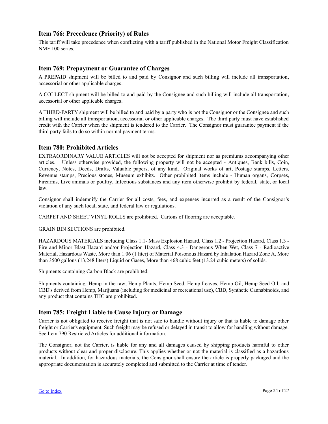#### <span id="page-23-0"></span>**Item 766: Precedence (Priority) of Rules**

This tariff will take precedence when conflicting with a tariff published in the National Motor Freight Classification NMF 100 series.

#### **Item 769: Prepayment or Guarantee of Charges**

A PREPAID shipment will be billed to and paid by Consignor and such billing will include all transportation, accessorial or other applicable charges.

A COLLECT shipment will be billed to and paid by the Consignee and such billing will include all transportation, accessorial or other applicable charges.

A THIRD-PARTY shipment will be billed to and paid by a party who is not the Consignor or the Consignee and such billing will include all transportation, accessorial or other applicable charges. The third party must have established credit with the Carrier when the shipment is tendered to the Carrier. The Consignor must guarantee payment if the third party fails to do so within normal payment terms.

#### **Item 780: Prohibited Articles**

EXTRAORDINARY VALUE ARTICLES will not be accepted for shipment nor as premiums accompanying other articles. Unless otherwise provided, the following property will not be accepted - Antiques, Bank bills, Coin, Currency, Notes, Deeds, Drafts, Valuable papers, of any kind, Original works of art, Postage stamps, Letters, Revenue stamps, Precious stones, Museum exhibits. Other prohibited items include - Human organs, Corpses, Firearms, Live animals or poultry, Infectious substances and any item otherwise prohibit by federal, state, or local law.

Consignor shall indemnify the Carrier for all costs, fees, and expenses incurred as a result of the Consignor's violation of any such local, state, and federal law or regulations.

CARPET AND SHEET VINYL ROLLS are prohibited. Cartons of flooring are acceptable.

GRAIN BIN SECTIONS are prohibited.

HAZARDOUS MATERIALS including Class 1.1- Mass Explosion Hazard, Class 1.2 - Projection Hazard, Class 1.3 - Fire and Minor Blast Hazard and/or Projection Hazard, Class 4.3 - Dangerous When Wet, Class 7 - Radioactive Material, Hazardous Waste, More than 1.06 (1 liter) of Material Poisonous Hazard by Inhalation Hazard Zone A, More than 3500 gallons (13,248 liters) Liquid or Gases, More than 468 cubic feet (13.24 cubic meters) of solids.

Shipments containing Carbon Black are prohibited.

Shipments containing: Hemp in the raw, Hemp Plants, Hemp Seed, Hemp Leaves, Hemp Oil, Hemp Seed Oil, and CBD's derived from Hemp, Marijuana (including for medicinal or recreational use), CBD, Synthetic Cannabinoids, and any product that contains THC are prohibited.

#### **Item 785: Freight Liable to Cause Injury or Damage**

Carrier is not obligated to receive freight that is not safe to handle without injury or that is liable to damage other freight or Carrier's equipment. Such freight may be refused or delayed in transit to allow for handling without damage. See Item 790 Restricted Articles for additional information.

The Consignor, not the Carrier, is liable for any and all damages caused by shipping products harmful to other products without clear and proper disclosure. This applies whether or not the material is classified as a hazardous material. In addition, for hazardous materials, the Consignor shall ensure the article is properly packaged and the appropriate documentation is accurately completed and submitted to the Carrier at time of tender.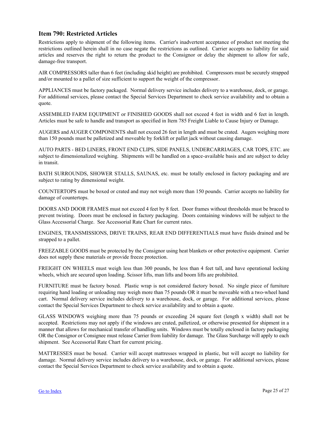#### **Item 790: Restricted Articles**

Restrictions apply to shipment of the following items. Carrier's inadvertent acceptance of product not meeting the restrictions outlined herein shall in no case negate the restrictions as outlined. Carrier accepts no liability for said articles and reserves the right to return the product to the Consignor or delay the shipment to allow for safe, damage-free transport.

AIR COMPRESSORS taller than 6 feet (including skid height) are prohibited. Compressors must be securely strapped and/or mounted to a pallet of size sufficient to support the weight of the compressor.

APPLIANCES must be factory packaged. Normal delivery service includes delivery to a warehouse, dock, or garage. For additional services, please contact the Special Services Department to check service availability and to obtain a quote.

ASSEMBLED FARM EQUIPMENT or FINISHED GOODS shall not exceed 4 feet in width and 6 feet in length. Articles must be safe to handle and transport as specified in Item 785 Freight Liable to Cause Injury or Damage.

AUGERS and AUGER COMPONENTS shall not exceed 26 feet in length and must be crated. Augers weighing more than 150 pounds must be palletized and moveable by forklift or pallet jack without causing damage.

AUTO PARTS - BED LINERS, FRONT END CLIPS, SIDE PANELS, UNDERCARRIAGES, CAR TOPS, ETC. are subject to dimensionalized weighing. Shipments will be handled on a space-available basis and are subject to delay in transit.

BATH SURROUNDS, SHOWER STALLS, SAUNAS, etc. must be totally enclosed in factory packaging and are subject to rating by dimensional weight.

COUNTERTOPS must be boxed or crated and may not weigh more than 150 pounds. Carrier accepts no liability for damage of countertops.

DOORS AND DOOR FRAMES must not exceed 4 feet by 8 feet. Door frames without thresholds must be braced to prevent twisting. Doors must be enclosed in factory packaging. Doors containing windows will be subject to the Glass Accessorial Charge. See Accessorial Rate Chart for current rates.

ENGINES, TRANSMISSIONS, DRIVE TRAINS, REAR END DIFFERENTIALS must have fluids drained and be strapped to a pallet.

FREEZABLE GOODS must be protected by the Consignor using heat blankets or other protective equipment. Carrier does not supply these materials or provide freeze protection.

FREIGHT ON WHEELS must weigh less than 300 pounds, be less than 4 feet tall, and have operational locking wheels, which are secured upon loading. Scissor lifts, man lifts and boom lifts are prohibited.

FURNITURE must be factory boxed. Plastic wrap is not considered factory boxed. No single piece of furniture requiring hand loading or unloading may weigh more than 75 pounds OR it must be moveable with a two-wheel hand cart. Normal delivery service includes delivery to a warehouse, dock, or garage. For additional services, please contact the Special Services Department to check service availability and to obtain a quote.

GLASS WINDOWS weighing more than 75 pounds or exceeding 24 square feet (length x width) shall not be accepted. Restrictions may not apply if the windows are crated, palletized, or otherwise presented for shipment in a manner that allows for mechanical transfer of handling units. Windows must be totally enclosed in factory packaging OR the Consignor or Consignee must release Carrier from liability for damage. The Glass Surcharge will apply to each shipment. See Accessorial Rate Chart for current pricing.

MATTRESSES must be boxed. Carrier will accept mattresses wrapped in plastic, but will accept no liability for damage. Normal delivery service includes delivery to a warehouse, dock, or garage. For additional services, please contact the Special Services Department to check service availability and to obtain a quote.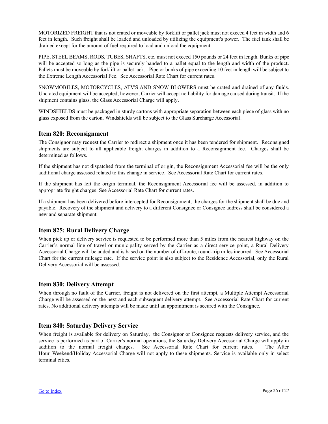<span id="page-25-0"></span>MOTORIZED FREIGHT that is not crated or moveable by forklift or pallet jack must not exceed 4 feet in width and 6 feet in length. Such freight shall be loaded and unloaded by utilizing the equipment's power. The fuel tank shall be drained except for the amount of fuel required to load and unload the equipment.

PIPE, STEEL BEAMS, RODS, TUBES, SHAFTS, etc. must not exceed 150 pounds or 24 feet in length. Bunks of pipe will be accepted so long as the pipe is securely banded to a pallet equal to the length and width of the product. Pallets must be moveable by forklift or pallet jack. Pipe or bunks of pipe exceeding 10 feet in length will be subject to the Extreme Length Accessorial Fee. See Accessorial Rate Chart for current rates.

SNOWMOBILES, MOTORCYCLES, ATV'S AND SNOW BLOWERS must be crated and drained of any fluids. Uncrated equipment will be accepted; however, Carrier will accept no liability for damage caused during transit. If the shipment contains glass, the Glass Accessorial Charge will apply.

WINDSHIELDS must be packaged in sturdy cartons with appropriate separation between each piece of glass with no glass exposed from the carton. Windshields will be subject to the Glass Surcharge Accessorial.

#### **Item 820: Reconsignment**

The Consignor may request the Carrier to redirect a shipment once it has been tendered for shipment. Reconsigned shipments are subject to all applicable freight charges in addition to a Reconsignment fee. Charges shall be determined as follows.

If the shipment has not dispatched from the terminal of origin, the Reconsignment Accessorial fee will be the only additional charge assessed related to this change in service. See Accessorial Rate Chart for current rates.

If the shipment has left the origin terminal, the Reconsignment Accessorial fee will be assessed, in addition to appropriate freight charges. See Accessorial Rate Chart for current rates.

If a shipment has been delivered before intercepted for Reconsignment, the charges for the shipment shall be due and payable. Recovery of the shipment and delivery to a different Consignee or Consignee address shall be considered a new and separate shipment.

#### **Item 825: Rural Delivery Charge**

When pick up or delivery service is requested to be performed more than 5 miles from the nearest highway on the Carrier's normal line of travel or municipality served by the Carrier as a direct service point, a Rural Delivery Accessorial Charge will be added and is based on the number of off-route, round-trip miles incurred. See Accessorial Chart for the current mileage rate. If the service point is also subject to the Residence Accessorial, only the Rural Delivery Accessorial will be assessed.

#### **Item 830: Delivery Attempt**

When through no fault of the Carrier, freight is not delivered on the first attempt, a Multiple Attempt Accessorial Charge will be assessed on the next and each subsequent delivery attempt. See Accessorial Rate Chart for current rates. No additional delivery attempts will be made until an appointment is secured with the Consignee.

#### **Item 840: Saturday Delivery Service**

When freight is available for delivery on Saturday, the Consignor or Consignee requests delivery service, and the service is performed as part of Carrier's normal operations, the Saturday Delivery Accessorial Charge will apply in addition to the normal freight charges. See Accessorial Rate Chart for current rates. The After Hour\_Weekend/Holiday Accessorial Charge will not apply to these shipments. Service is available only in select terminal cities.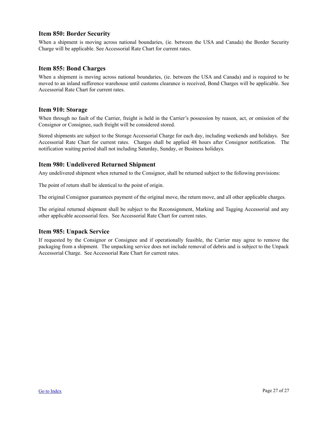#### <span id="page-26-0"></span>**Item 850: Border Security**

When a shipment is moving across national boundaries, (ie. between the USA and Canada) the Border Security Charge will be applicable. See Accessorial Rate Chart for current rates.

#### **Item 855: Bond Charges**

When a shipment is moving across national boundaries, (ie. between the USA and Canada) and is required to be moved to an inland sufference warehouse until customs clearance is received, Bond Charges will be applicable. See Accessorial Rate Chart for current rates.

#### **Item 910: Storage**

When through no fault of the Carrier, freight is held in the Carrier's possession by reason, act, or omission of the Consignor or Consignee, such freight will be considered stored.

Stored shipments are subject to the Storage Accessorial Charge for each day, including weekends and holidays. See Accessorial Rate Chart for current rates. Charges shall be applied 48 hours after Consignor notification. The notification waiting period shall not including Saturday, Sunday, or Business holidays.

#### **Item 980: Undelivered Returned Shipment**

Any undelivered shipment when returned to the Consignor, shall be returned subject to the following provisions:

The point of return shall be identical to the point of origin.

The original Consignor guarantees payment of the original move, the return move, and all other applicable charges.

The original returned shipment shall be subject to the Reconsignment, Marking and Tagging Accessorial and any other applicable accessorial fees. See Accessorial Rate Chart for current rates.

#### **Item 985: Unpack Service**

If requested by the Consignor or Consignee and if operationally feasible, the Carrier may agree to remove the packaging from a shipment. The unpacking service does not include removal of debris and is subject to the Unpack Accessorial Charge. See Accessorial Rate Chart for current rates.